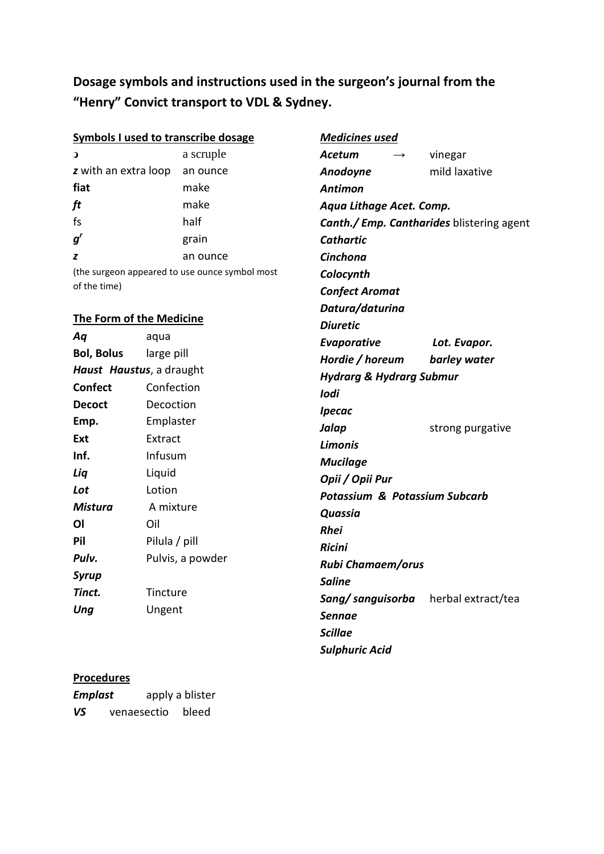Dosage symbols and instructions used in the surgeon's journal from the "Henry" Convict transport to VDL & Sydney.

| <b>Symbols I used to transcribe dosage</b> |                  |                                                | <b>Medicines used</b>               |                       |                                                  |  |
|--------------------------------------------|------------------|------------------------------------------------|-------------------------------------|-----------------------|--------------------------------------------------|--|
| $\mathbf{D}$                               |                  | a scruple                                      | <b>Acetum</b>                       | $\rightarrow$         | vinegar                                          |  |
| z with an extra loop                       |                  | an ounce                                       | Anodoyne                            |                       | mild laxative                                    |  |
| fiat                                       |                  | make                                           | <b>Antimon</b>                      |                       |                                                  |  |
| ft                                         |                  | make                                           | Aqua Lithage Acet. Comp.            |                       |                                                  |  |
| fs                                         |                  | half                                           |                                     |                       | <b>Canth./ Emp. Cantharides</b> blistering agent |  |
| $g^{\prime}$                               |                  | grain                                          | <b>Cathartic</b>                    |                       |                                                  |  |
| z                                          |                  | an ounce                                       | Cinchona                            |                       |                                                  |  |
|                                            |                  | (the surgeon appeared to use ounce symbol most | Colocynth                           |                       |                                                  |  |
| of the time)                               |                  |                                                |                                     | <b>Confect Aromat</b> |                                                  |  |
|                                            |                  |                                                |                                     | Datura/daturina       |                                                  |  |
| <b>The Form of the Medicine</b>            |                  |                                                | <b>Diuretic</b>                     |                       |                                                  |  |
| Aq                                         | aqua             |                                                | Evaporative                         |                       | Lot. Evapor.                                     |  |
| <b>Bol, Bolus</b><br>large pill            |                  |                                                | Hordie / horeum                     |                       | barley water                                     |  |
| Haust Haustus, a draught                   |                  |                                                | <b>Hydrarg &amp; Hydrarg Submur</b> |                       |                                                  |  |
| <b>Confect</b>                             | Confection       |                                                | lodi                                |                       |                                                  |  |
| <b>Decoct</b>                              | Decoction        |                                                | <b>Ipecac</b>                       |                       |                                                  |  |
| Emp.                                       | Emplaster        |                                                | Jalap                               |                       | strong purgative                                 |  |
| Ext                                        | Extract          |                                                | <b>Limonis</b>                      |                       |                                                  |  |
| Inf.                                       | Infusum          |                                                | <b>Mucilage</b>                     |                       |                                                  |  |
| Liq                                        | Liquid           |                                                | Opii / Opii Pur                     |                       |                                                  |  |
| Lot                                        | Lotion           |                                                | Potassium & Potassium Subcarb       |                       |                                                  |  |
| <b>Mistura</b>                             | A mixture        |                                                | Quassia                             |                       |                                                  |  |
| <b>OI</b>                                  | Oil              |                                                | <b>Rhei</b>                         |                       |                                                  |  |
| Pil                                        | Pilula / pill    |                                                | Ricini                              |                       |                                                  |  |
| Pulv.                                      | Pulvis, a powder |                                                | <b>Rubi Chamaem/orus</b>            |                       |                                                  |  |
| <b>Syrup</b>                               |                  |                                                | <b>Saline</b>                       |                       |                                                  |  |
| Tinct.                                     | Tincture         |                                                | Sang/ sanguisorba                   |                       | herbal extract/tea                               |  |
| Ung                                        | Ungent           |                                                | <b>Sennae</b>                       |                       |                                                  |  |
|                                            |                  |                                                | <b>Scillae</b>                      |                       |                                                  |  |
|                                            |                  |                                                | <b>Sulphuric Acid</b>               |                       |                                                  |  |

## **Procedures**

| <b>Emplast</b> |             | apply a blister |
|----------------|-------------|-----------------|
| VS             | venaesectio | bleed           |